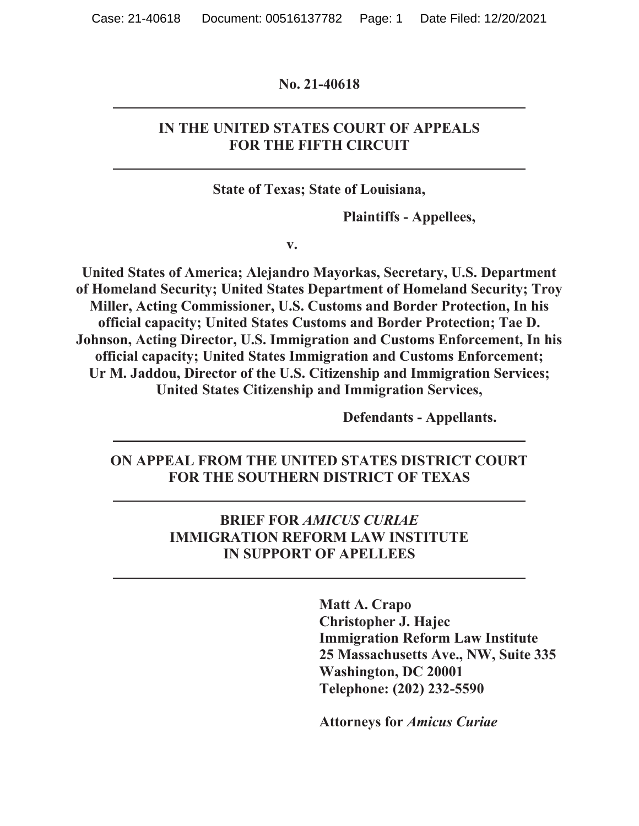#### **No. 21-40618**

### **IN THE UNITED STATES COURT OF APPEALS FOR THE FIFTH CIRCUIT**

**State of Texas; State of Louisiana,** 

**Plaintiffs - Appellees,** 

**v.** 

**United States of America; Alejandro Mayorkas, Secretary, U.S. Department of Homeland Security; United States Department of Homeland Security; Troy Miller, Acting Commissioner, U.S. Customs and Border Protection, In his official capacity; United States Customs and Border Protection; Tae D. Johnson, Acting Director, U.S. Immigration and Customs Enforcement, In his official capacity; United States Immigration and Customs Enforcement; Ur M. Jaddou, Director of the U.S. Citizenship and Immigration Services; United States Citizenship and Immigration Services,** 

**Defendants - Appellants.** 

**ON APPEAL FROM THE UNITED STATES DISTRICT COURT FOR THE SOUTHERN DISTRICT OF TEXAS** 

### **BRIEF FOR** *AMICUS CURIAE* **IMMIGRATION REFORM LAW INSTITUTE IN SUPPORT OF APELLEES**

**Matt A. Crapo Christopher J. Hajec Immigration Reform Law Institute 25 Massachusetts Ave., NW, Suite 335 Washington, DC 20001 Telephone: (202) 232-5590** 

**Attorneys for** *Amicus Curiae*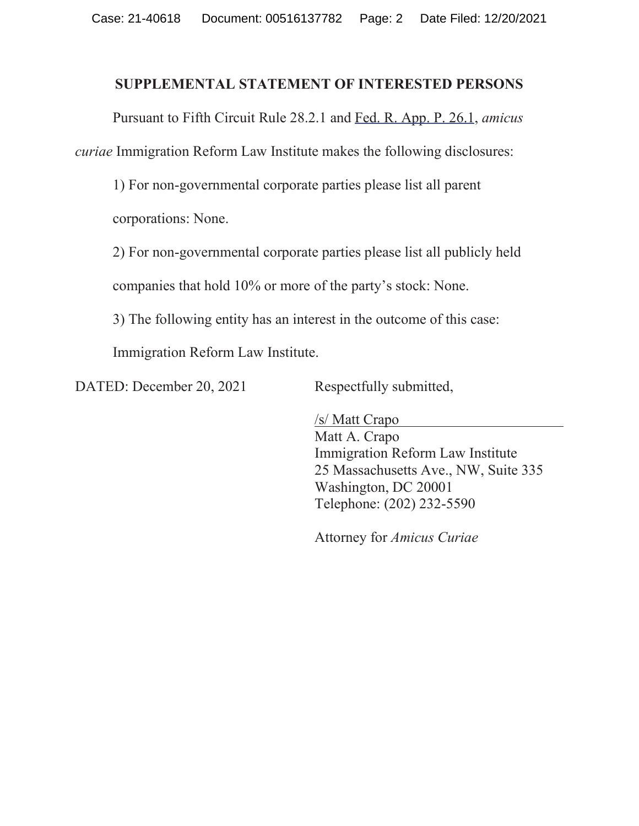#### **SUPPLEMENTAL STATEMENT OF INTERESTED PERSONS**

Pursuant to Fifth Circuit Rule 28.2.1 and Fed. R. App. P. 26.1, *amicus curiae* Immigration Reform Law Institute makes the following disclosures:

1) For non-governmental corporate parties please list all parent

corporations: None.

2) For non-governmental corporate parties please list all publicly held

companies that hold 10% or more of the party's stock: None.

3) The following entity has an interest in the outcome of this case:

Immigration Reform Law Institute.

DATED: December 20, 2021 Respectfully submitted,

/s/ Matt Crapo Matt A. Crapo Immigration Reform Law Institute 25 Massachusetts Ave., NW, Suite 335 Washington, DC 20001 Telephone: (202) 232-5590

Attorney for *Amicus Curiae*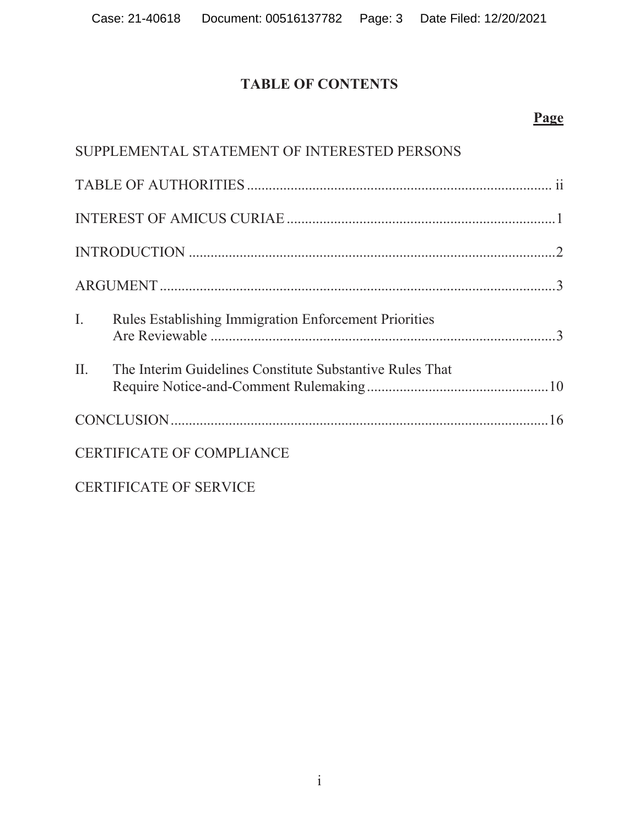# **TABLE OF CONTENTS**

## **Page**

|     | SUPPLEMENTAL STATEMENT OF INTERESTED PERSONS             |  |
|-----|----------------------------------------------------------|--|
|     |                                                          |  |
|     |                                                          |  |
|     |                                                          |  |
|     |                                                          |  |
|     | I. Rules Establishing Immigration Enforcement Priorities |  |
| II. | The Interim Guidelines Constitute Substantive Rules That |  |
|     |                                                          |  |
|     | <b>CERTIFICATE OF COMPLIANCE</b>                         |  |
|     | <b>CERTIFICATE OF SERVICE</b>                            |  |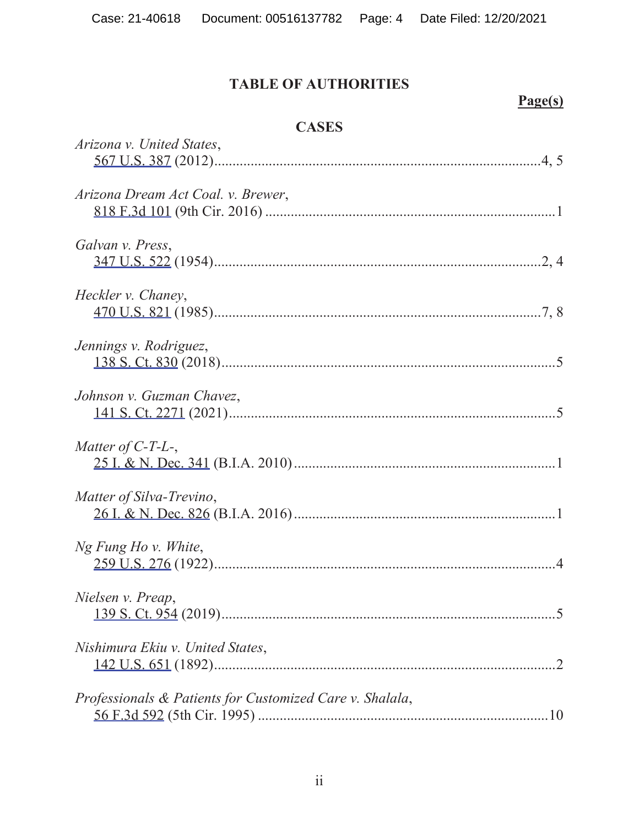# **TABLE OF AUTHORITIES**

# **Page(s)**

## **CASES**

| Arizona v. United States,                                |
|----------------------------------------------------------|
| Arizona Dream Act Coal. v. Brewer,                       |
| Galvan v. Press,                                         |
| Heckler v. Chaney,                                       |
| Jennings v. Rodriguez,                                   |
| Johnson v. Guzman Chavez,                                |
| Matter of $C$ -T-L-,                                     |
| Matter of Silva-Trevino,                                 |
| Ng Fung Ho v. White,                                     |
| Nielsen v. Preap,                                        |
| Nishimura Ekiu v. United States,                         |
| Professionals & Patients for Customized Care v. Shalala, |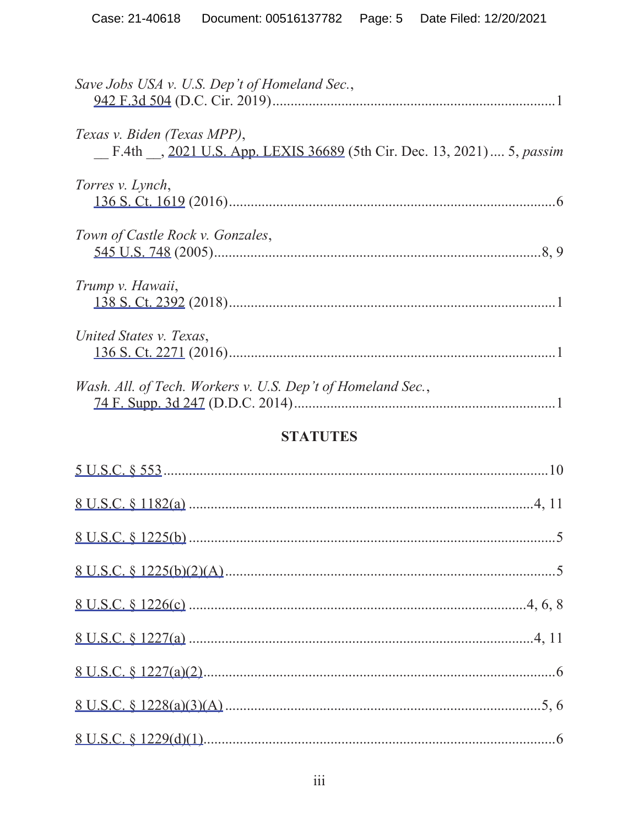| Save Jobs USA v. U.S. Dep't of Homeland Sec.,                                                         |
|-------------------------------------------------------------------------------------------------------|
|                                                                                                       |
| Texas v. Biden (Texas MPP),<br>F.4th , 2021 U.S. App. LEXIS 36689 (5th Cir. Dec. 13, 2021)  5, passim |
| Torres v. Lynch,                                                                                      |
|                                                                                                       |
| Town of Castle Rock v. Gonzales,                                                                      |
| Trump v. Hawaii,                                                                                      |
|                                                                                                       |
| United States v. Texas,                                                                               |
|                                                                                                       |
| Wash. All. of Tech. Workers v. U.S. Dep't of Homeland Sec.,                                           |
|                                                                                                       |
| <b>STATUTES</b>                                                                                       |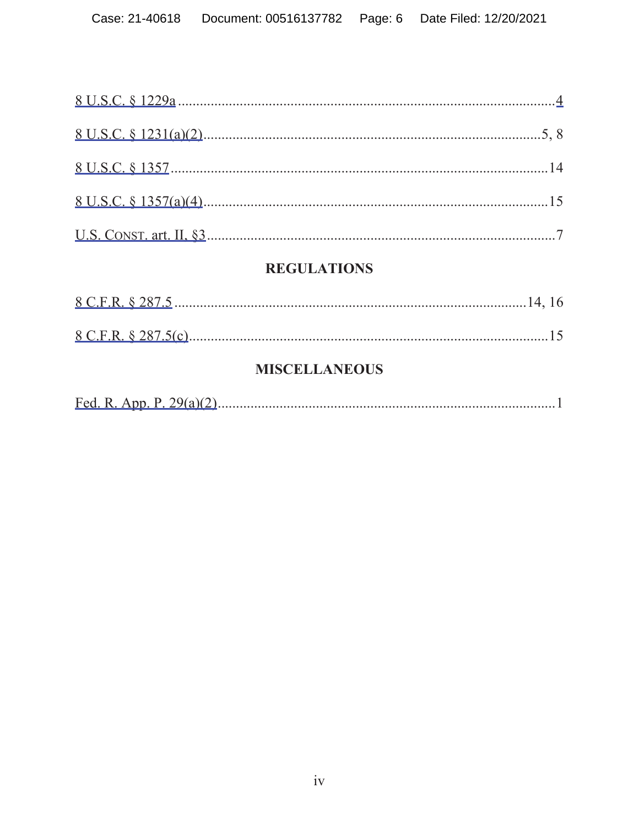# **REGULATIONS**

# **MISCELLANEOUS**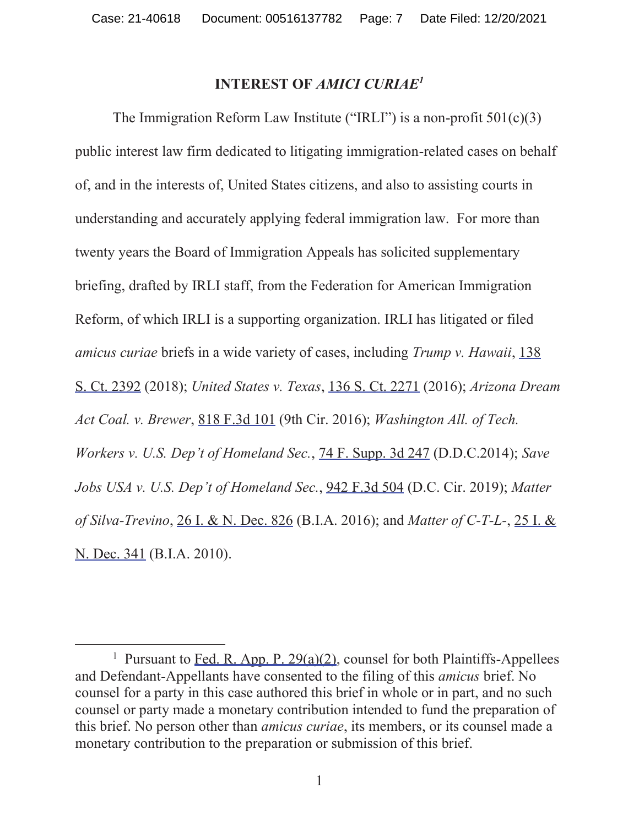#### **INTEREST OF** *AMICI CURIAE1*

The Immigration Reform Law Institute ("IRLI") is a non-profit  $501(c)(3)$ public interest law firm dedicated to litigating immigration-related cases on behalf of, and in the interests of, United States citizens, and also to assisting courts in understanding and accurately applying federal immigration law. For more than twenty years the Board of Immigration Appeals has solicited supplementary briefing, drafted by IRLI staff, from the Federation for American Immigration Reform, of which IRLI is a supporting organization. IRLI has litigated or filed *amicus curiae* briefs in a wide variety of cases, including *Trump v. Hawaii*, 138 S. Ct. 2392 (2018); *United States v. Texas*, 136 S. Ct. 2271 (2016); *Arizona Dream Act Coal. v. Brewer*, 818 F.3d 101 (9th Cir. 2016); *Washington All. of Tech. Workers v. U.S. Dep't of Homeland Sec.*, 74 F. Supp. 3d 247 (D.D.C.2014); *Save Jobs USA v. U.S. Dep't of Homeland Sec.*, 942 F.3d 504 (D.C. Cir. 2019); *Matter of Silva-Trevino*, 26 I. & N. Dec. 826 (B.I.A. 2016); and *Matter of C-T-L-*, 25 I. & N. Dec. 341 (B.I.A. 2010).

<sup>&</sup>lt;sup>1</sup> Pursuant to Fed. R. App. P. 29(a)(2), counsel for both Plaintiffs-Appellees and Defendant-Appellants have consented to the filing of this *amicus* brief. No counsel for a party in this case authored this brief in whole or in part, and no such counsel or party made a monetary contribution intended to fund the preparation of this brief. No person other than *amicus curiae*, its members, or its counsel made a monetary contribution to the preparation or submission of this brief.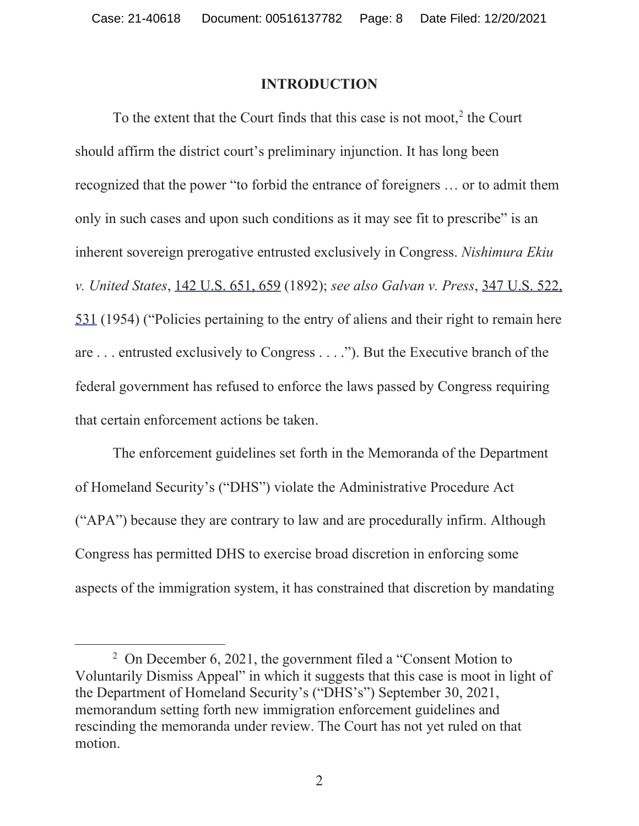#### **INTRODUCTION**

To the extent that the Court finds that this case is not moot, $2$  the Court should affirm the district court's preliminary injunction. It has long been recognized that the power "to forbid the entrance of foreigners … or to admit them only in such cases and upon such conditions as it may see fit to prescribe" is an inherent sovereign prerogative entrusted exclusively in Congress. *Nishimura Ekiu v. United States*, 142 U.S. 651, 659 (1892); *see also Galvan v. Press*, 347 U.S. 522, 531 (1954) ("Policies pertaining to the entry of aliens and their right to remain here are . . . entrusted exclusively to Congress . . . ."). But the Executive branch of the federal government has refused to enforce the laws passed by Congress requiring that certain enforcement actions be taken.

The enforcement guidelines set forth in the Memoranda of the Department of Homeland Security's ("DHS") violate the Administrative Procedure Act ("APA") because they are contrary to law and are procedurally infirm. Although Congress has permitted DHS to exercise broad discretion in enforcing some aspects of the immigration system, it has constrained that discretion by mandating

<sup>&</sup>lt;sup>2</sup> On December 6, 2021, the government filed a "Consent Motion to Voluntarily Dismiss Appeal" in which it suggests that this case is moot in light of the Department of Homeland Security's ("DHS's") September 30, 2021, memorandum setting forth new immigration enforcement guidelines and rescinding the memoranda under review. The Court has not yet ruled on that motion.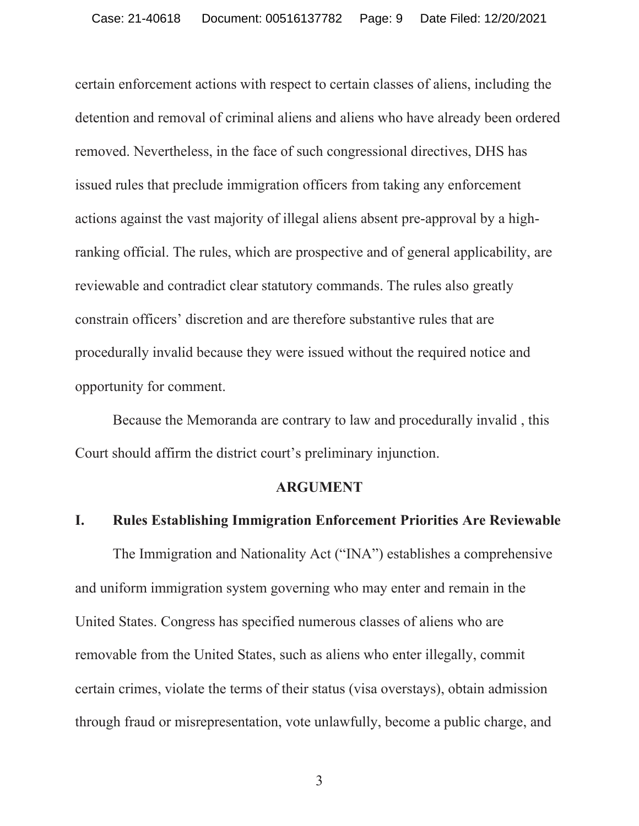certain enforcement actions with respect to certain classes of aliens, including the detention and removal of criminal aliens and aliens who have already been ordered removed. Nevertheless, in the face of such congressional directives, DHS has issued rules that preclude immigration officers from taking any enforcement actions against the vast majority of illegal aliens absent pre-approval by a highranking official. The rules, which are prospective and of general applicability, are reviewable and contradict clear statutory commands. The rules also greatly constrain officers' discretion and are therefore substantive rules that are procedurally invalid because they were issued without the required notice and opportunity for comment.

Because the Memoranda are contrary to law and procedurally invalid , this Court should affirm the district court's preliminary injunction.

#### **ARGUMENT**

### **I. Rules Establishing Immigration Enforcement Priorities Are Reviewable**

The Immigration and Nationality Act ("INA") establishes a comprehensive and uniform immigration system governing who may enter and remain in the United States. Congress has specified numerous classes of aliens who are removable from the United States, such as aliens who enter illegally, commit certain crimes, violate the terms of their status (visa overstays), obtain admission through fraud or misrepresentation, vote unlawfully, become a public charge, and

3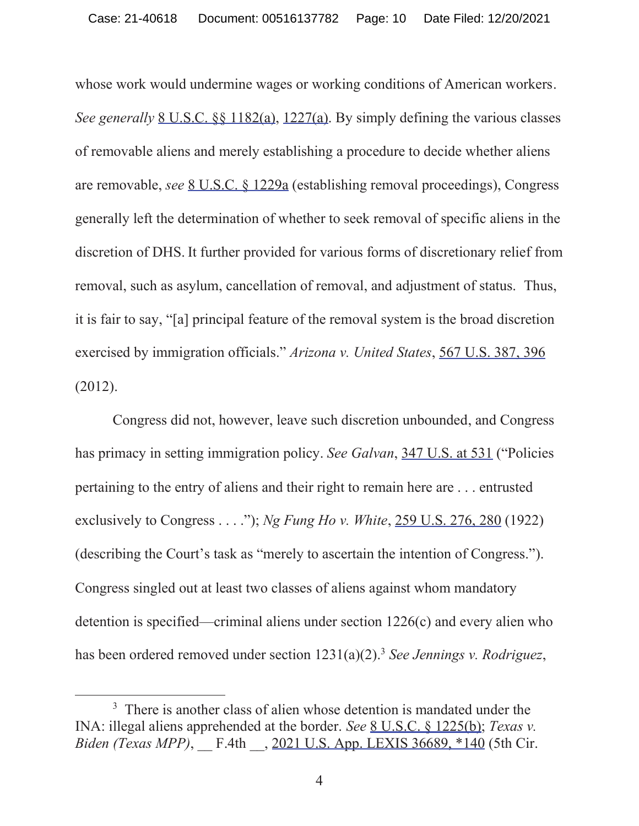whose work would undermine wages or working conditions of American workers. *See generally* 8 U.S.C. §§ 1182(a), 1227(a). By simply defining the various classes of removable aliens and merely establishing a procedure to decide whether aliens are removable, *see* 8 U.S.C. § 1229a (establishing removal proceedings), Congress generally left the determination of whether to seek removal of specific aliens in the discretion of DHS. It further provided for various forms of discretionary relief from removal, such as asylum, cancellation of removal, and adjustment of status. Thus, it is fair to say, "[a] principal feature of the removal system is the broad discretion exercised by immigration officials." *Arizona v. United States*, 567 U.S. 387, 396 (2012).

Congress did not, however, leave such discretion unbounded, and Congress has primacy in setting immigration policy. *See Galvan*, 347 U.S. at 531 ("Policies pertaining to the entry of aliens and their right to remain here are . . . entrusted exclusively to Congress . . . ."); *Ng Fung Ho v. White*, 259 U.S. 276, 280 (1922) (describing the Court's task as "merely to ascertain the intention of Congress."). Congress singled out at least two classes of aliens against whom mandatory detention is specified—criminal aliens under section 1226(c) and every alien who has been ordered removed under section  $1231(a)(2)$ .<sup>3</sup> *See Jennings v. Rodriguez*,

<sup>&</sup>lt;sup>3</sup> There is another class of alien whose detention is mandated under the INA: illegal aliens apprehended at the border. *See* 8 U.S.C. § 1225(b); *Texas v. Biden (Texas MPP)*, F.4th , 2021 U.S. App. LEXIS 36689, \*140 (5th Cir.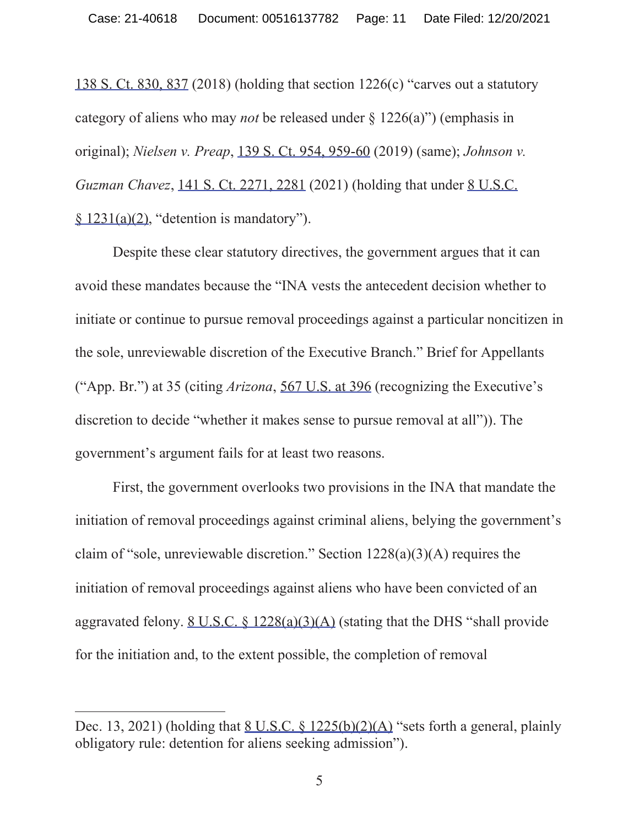138 S. Ct. 830, 837 (2018) (holding that section 1226(c) "carves out a statutory category of aliens who may *not* be released under § 1226(a)") (emphasis in original); *Nielsen v. Preap*, 139 S. Ct. 954, 959-60 (2019) (same); *Johnson v. Guzman Chavez*, 141 S. Ct. 2271, 2281 (2021) (holding that under 8 U.S.C. § 1231(a)(2), "detention is mandatory").

Despite these clear statutory directives, the government argues that it can avoid these mandates because the "INA vests the antecedent decision whether to initiate or continue to pursue removal proceedings against a particular noncitizen in the sole, unreviewable discretion of the Executive Branch." Brief for Appellants ("App. Br.") at 35 (citing *Arizona*, 567 U.S. at 396 (recognizing the Executive's discretion to decide "whether it makes sense to pursue removal at all")). The government's argument fails for at least two reasons.

First, the government overlooks two provisions in the INA that mandate the initiation of removal proceedings against criminal aliens, belying the government's claim of "sole, unreviewable discretion." Section  $1228(a)(3)(A)$  requires the initiation of removal proceedings against aliens who have been convicted of an aggravated felony. 8 U.S.C.  $\frac{$1228(a)(3)(A)}{54(4)}$  (stating that the DHS "shall provide for the initiation and, to the extent possible, the completion of removal

Dec. 13, 2021) (holding that  $8 \text{ U.S.C.}$   $8 \frac{1225(b)(2)(\text{A})}{2}$  "sets forth a general, plainly obligatory rule: detention for aliens seeking admission").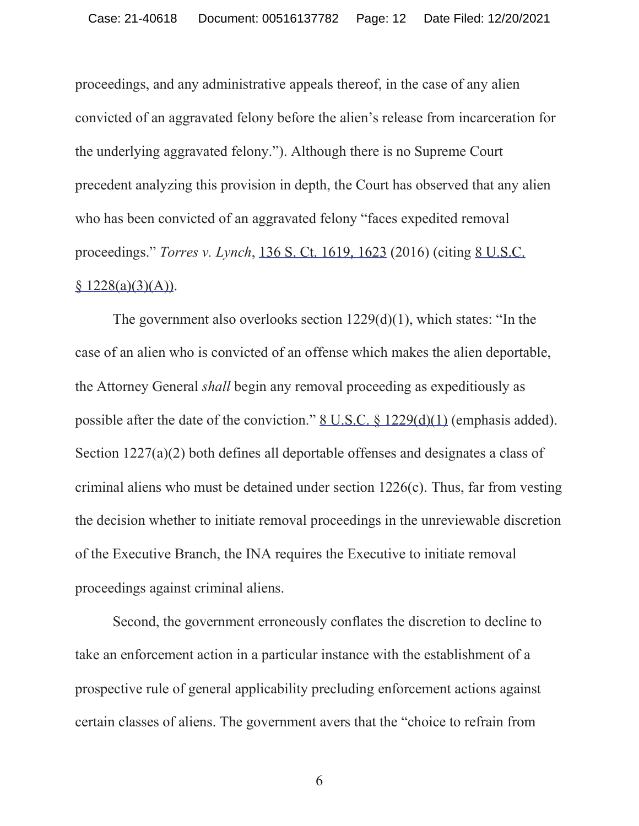proceedings, and any administrative appeals thereof, in the case of any alien convicted of an aggravated felony before the alien's release from incarceration for the underlying aggravated felony."). Although there is no Supreme Court precedent analyzing this provision in depth, the Court has observed that any alien who has been convicted of an aggravated felony "faces expedited removal proceedings." *Torres v. Lynch*, 136 S. Ct. 1619, 1623 (2016) (citing 8 U.S.C.  $$ 1228(a)(3)(A)).$ 

The government also overlooks section 1229(d)(1), which states: "In the case of an alien who is convicted of an offense which makes the alien deportable, the Attorney General *shall* begin any removal proceeding as expeditiously as possible after the date of the conviction." <u>8 U.S.C. § 1229(d)(1)</u> (emphasis added). Section 1227(a)(2) both defines all deportable offenses and designates a class of criminal aliens who must be detained under section 1226(c). Thus, far from vesting the decision whether to initiate removal proceedings in the unreviewable discretion of the Executive Branch, the INA requires the Executive to initiate removal proceedings against criminal aliens.

Second, the government erroneously conflates the discretion to decline to take an enforcement action in a particular instance with the establishment of a prospective rule of general applicability precluding enforcement actions against certain classes of aliens. The government avers that the "choice to refrain from

6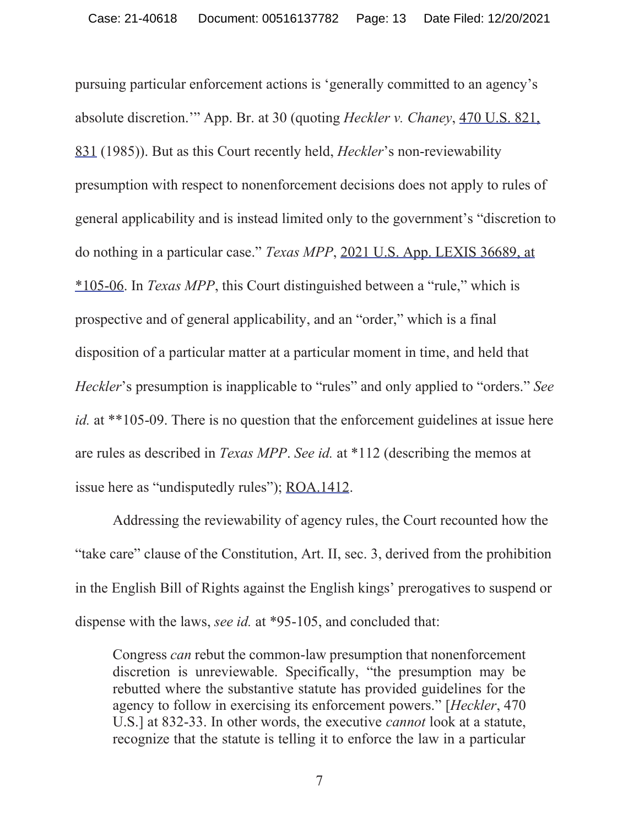pursuing particular enforcement actions is 'generally committed to an agency's absolute discretion.'" App. Br. at 30 (quoting *Heckler v. Chaney*, 470 U.S. 821, 831 (1985)). But as this Court recently held, *Heckler*'s non-reviewability presumption with respect to nonenforcement decisions does not apply to rules of general applicability and is instead limited only to the government's "discretion to do nothing in a particular case." *Texas MPP*, 2021 U.S. App. LEXIS 36689, at \*105-06. In *Texas MPP*, this Court distinguished between a "rule," which is prospective and of general applicability, and an "order," which is a final disposition of a particular matter at a particular moment in time, and held that *Heckler*'s presumption is inapplicable to "rules" and only applied to "orders." *See id.* at \*\*105-09. There is no question that the enforcement guidelines at issue here are rules as described in *Texas MPP*. *See id.* at \*112 (describing the memos at issue here as "undisputedly rules"); ROA.1412.

Addressing the reviewability of agency rules, the Court recounted how the "take care" clause of the Constitution, Art. II, sec. 3, derived from the prohibition in the English Bill of Rights against the English kings' prerogatives to suspend or dispense with the laws, *see id.* at \*95-105, and concluded that:

Congress *can* rebut the common-law presumption that nonenforcement discretion is unreviewable. Specifically, "the presumption may be rebutted where the substantive statute has provided guidelines for the agency to follow in exercising its enforcement powers." [*Heckler*, 470 U.S.] at 832-33. In other words, the executive *cannot* look at a statute, recognize that the statute is telling it to enforce the law in a particular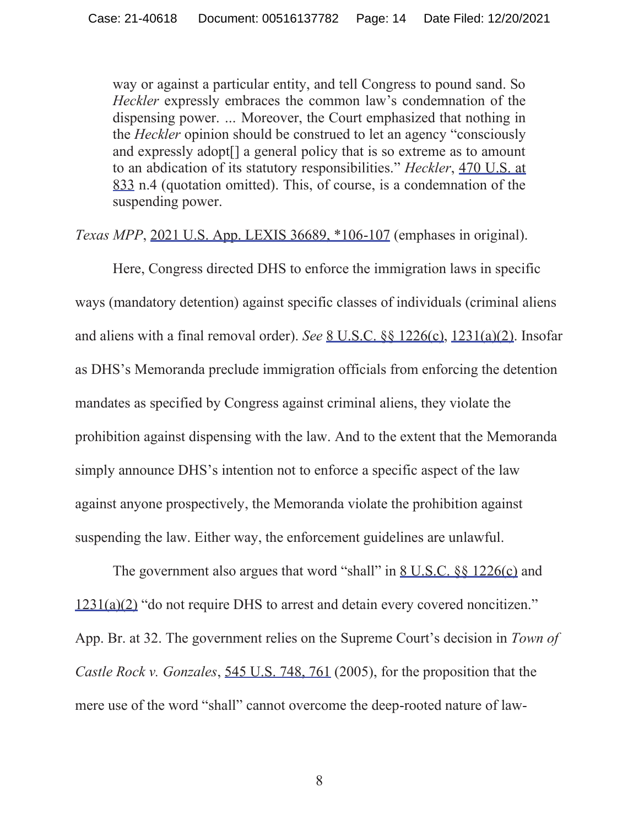way or against a particular entity, and tell Congress to pound sand. So *Heckler* expressly embraces the common law's condemnation of the dispensing power. *…* Moreover, the Court emphasized that nothing in the *Heckler* opinion should be construed to let an agency "consciously and expressly adopt[] a general policy that is so extreme as to amount to an abdication of its statutory responsibilities." *Heckler*, 470 U.S. at 833 n.4 (quotation omitted). This, of course, is a condemnation of the suspending power.

*Texas MPP*, 2021 U.S. App. LEXIS 36689, \*106-107 (emphases in original).

Here, Congress directed DHS to enforce the immigration laws in specific ways (mandatory detention) against specific classes of individuals (criminal aliens and aliens with a final removal order). *See* 8 U.S.C. §§ 1226(c), 1231(a)(2). Insofar as DHS's Memoranda preclude immigration officials from enforcing the detention mandates as specified by Congress against criminal aliens, they violate the prohibition against dispensing with the law. And to the extent that the Memoranda simply announce DHS's intention not to enforce a specific aspect of the law against anyone prospectively, the Memoranda violate the prohibition against suspending the law. Either way, the enforcement guidelines are unlawful.

The government also argues that word "shall" in <u>8 U.S.C.  $\$  1226(c)</u> and 1231(a)(2) "do not require DHS to arrest and detain every covered noncitizen." App. Br. at 32. The government relies on the Supreme Court's decision in *Town of Castle Rock v. Gonzales*, 545 U.S. 748, 761 (2005), for the proposition that the mere use of the word "shall" cannot overcome the deep-rooted nature of law-

8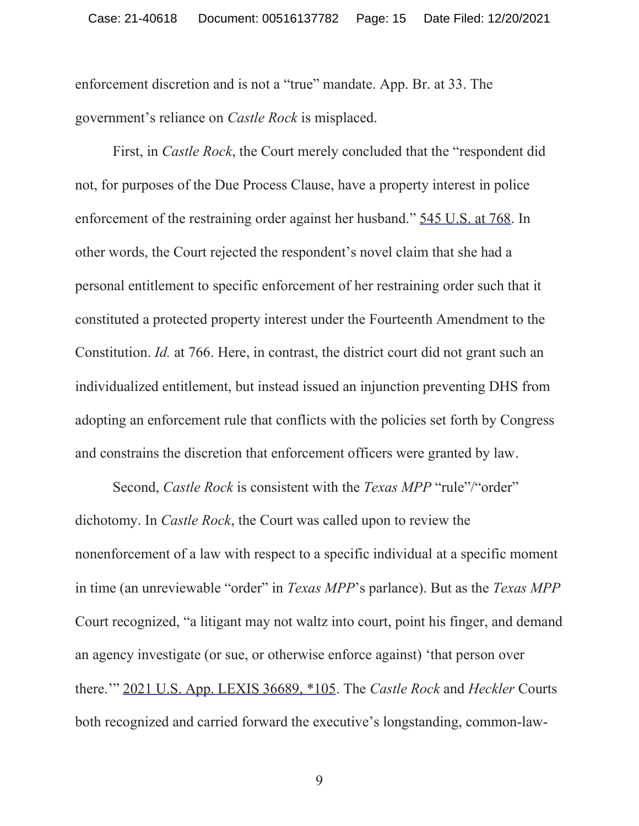enforcement discretion and is not a "true" mandate. App. Br. at 33. The government's reliance on *Castle Rock* is misplaced.

First, in *Castle Rock*, the Court merely concluded that the "respondent did not, for purposes of the Due Process Clause, have a property interest in police enforcement of the restraining order against her husband." 545 U.S. at 768. In other words, the Court rejected the respondent's novel claim that she had a personal entitlement to specific enforcement of her restraining order such that it constituted a protected property interest under the Fourteenth Amendment to the Constitution. *Id.* at 766. Here, in contrast, the district court did not grant such an individualized entitlement, but instead issued an injunction preventing DHS from adopting an enforcement rule that conflicts with the policies set forth by Congress and constrains the discretion that enforcement officers were granted by law.

Second, *Castle Rock* is consistent with the *Texas MPP* "rule"/"order" dichotomy. In *Castle Rock*, the Court was called upon to review the nonenforcement of a law with respect to a specific individual at a specific moment in time (an unreviewable "order" in *Texas MPP*'s parlance). But as the *Texas MPP*  Court recognized, "a litigant may not waltz into court, point his finger, and demand an agency investigate (or sue, or otherwise enforce against) 'that person over there.'" 2021 U.S. App. LEXIS 36689, \*105. The *Castle Rock* and *Heckler* Courts both recognized and carried forward the executive's longstanding, common-law-

9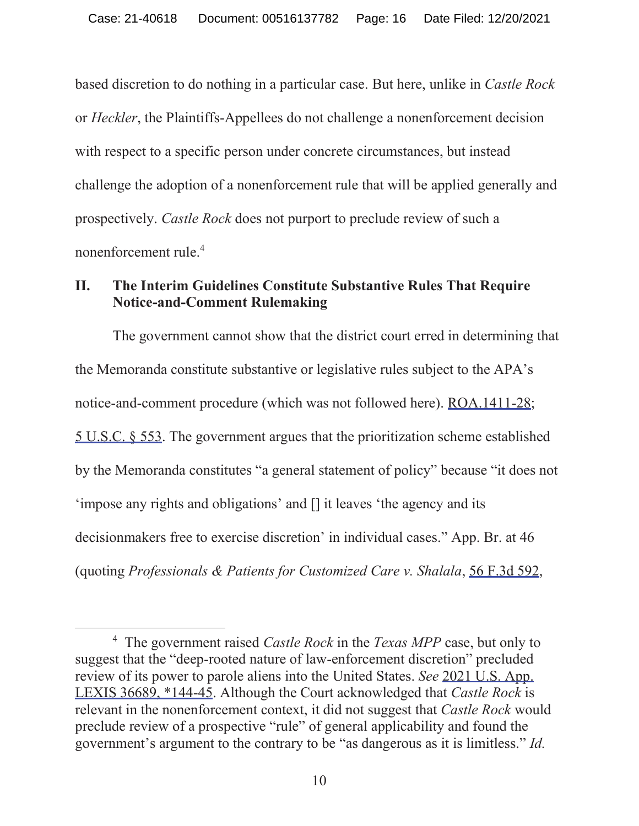based discretion to do nothing in a particular case. But here, unlike in *Castle Rock*  or *Heckler*, the Plaintiffs-Appellees do not challenge a nonenforcement decision with respect to a specific person under concrete circumstances, but instead challenge the adoption of a nonenforcement rule that will be applied generally and prospectively. *Castle Rock* does not purport to preclude review of such a nonenforcement rule.4

### **II. The Interim Guidelines Constitute Substantive Rules That Require Notice-and-Comment Rulemaking**

The government cannot show that the district court erred in determining that the Memoranda constitute substantive or legislative rules subject to the APA's notice-and-comment procedure (which was not followed here). ROA.1411-28; 5 U.S.C. § 553. The government argues that the prioritization scheme established by the Memoranda constitutes "a general statement of policy" because "it does not 'impose any rights and obligations' and [] it leaves 'the agency and its decisionmakers free to exercise discretion' in individual cases." App. Br. at 46 (quoting *Professionals & Patients for Customized Care v. Shalala*, 56 F.3d 592,

<sup>4</sup> The government raised *Castle Rock* in the *Texas MPP* case, but only to suggest that the "deep-rooted nature of law-enforcement discretion" precluded review of its power to parole aliens into the United States. *See* 2021 U.S. App. LEXIS 36689, \*144-45. Although the Court acknowledged that *Castle Rock* is relevant in the nonenforcement context, it did not suggest that *Castle Rock* would preclude review of a prospective "rule" of general applicability and found the government's argument to the contrary to be "as dangerous as it is limitless." *Id.*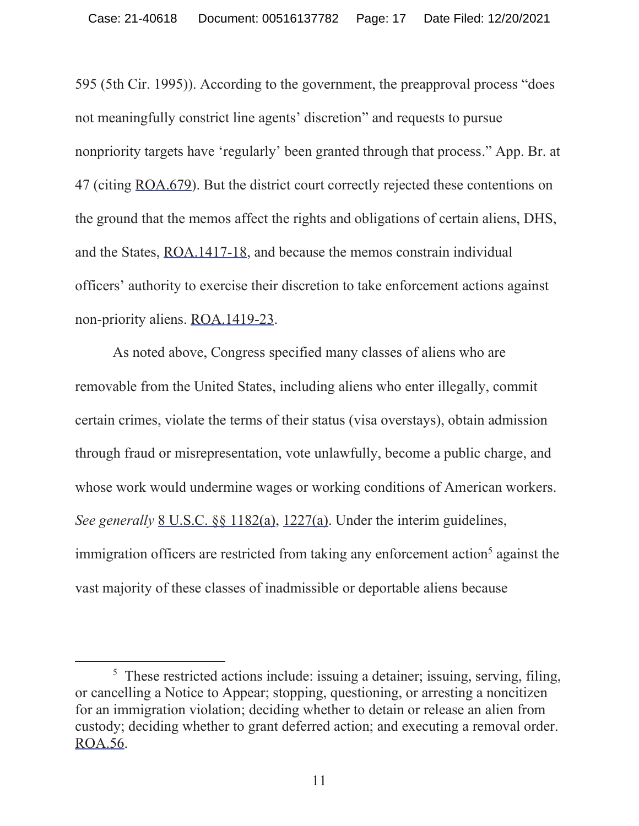595 (5th Cir. 1995)). According to the government, the preapproval process "does not meaningfully constrict line agents' discretion" and requests to pursue nonpriority targets have 'regularly' been granted through that process." App. Br. at 47 (citing ROA.679). But the district court correctly rejected these contentions on the ground that the memos affect the rights and obligations of certain aliens, DHS, and the States, ROA.1417-18, and because the memos constrain individual officers' authority to exercise their discretion to take enforcement actions against non-priority aliens. ROA.1419-23.

As noted above, Congress specified many classes of aliens who are removable from the United States, including aliens who enter illegally, commit certain crimes, violate the terms of their status (visa overstays), obtain admission through fraud or misrepresentation, vote unlawfully, become a public charge, and whose work would undermine wages or working conditions of American workers. *See generally* 8 U.S.C. §§ 1182(a), 1227(a). Under the interim guidelines, immigration officers are restricted from taking any enforcement action<sup>5</sup> against the vast majority of these classes of inadmissible or deportable aliens because

<sup>&</sup>lt;sup>5</sup> These restricted actions include: issuing a detainer; issuing, serving, filing, or cancelling a Notice to Appear; stopping, questioning, or arresting a noncitizen for an immigration violation; deciding whether to detain or release an alien from custody; deciding whether to grant deferred action; and executing a removal order. ROA.56.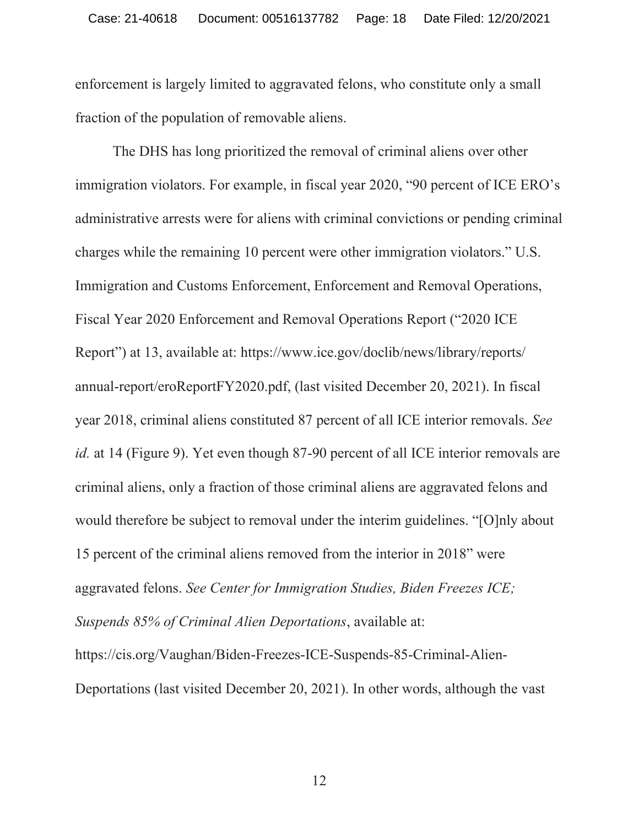enforcement is largely limited to aggravated felons, who constitute only a small fraction of the population of removable aliens.

The DHS has long prioritized the removal of criminal aliens over other immigration violators. For example, in fiscal year 2020, "90 percent of ICE ERO's administrative arrests were for aliens with criminal convictions or pending criminal charges while the remaining 10 percent were other immigration violators." U.S. Immigration and Customs Enforcement, Enforcement and Removal Operations, Fiscal Year 2020 Enforcement and Removal Operations Report ("2020 ICE Report") at 13, available at: https://www.ice.gov/doclib/news/library/reports/ annual-report/eroReportFY2020.pdf, (last visited December 20, 2021). In fiscal year 2018, criminal aliens constituted 87 percent of all ICE interior removals. *See id.* at 14 (Figure 9). Yet even though 87-90 percent of all ICE interior removals are criminal aliens, only a fraction of those criminal aliens are aggravated felons and would therefore be subject to removal under the interim guidelines. "[O]nly about 15 percent of the criminal aliens removed from the interior in 2018" were aggravated felons. *See Center for Immigration Studies, Biden Freezes ICE; Suspends 85% of Criminal Alien Deportations*, available at: https://cis.org/Vaughan/Biden-Freezes-ICE-Suspends-85-Criminal-Alien-Deportations (last visited December 20, 2021). In other words, although the vast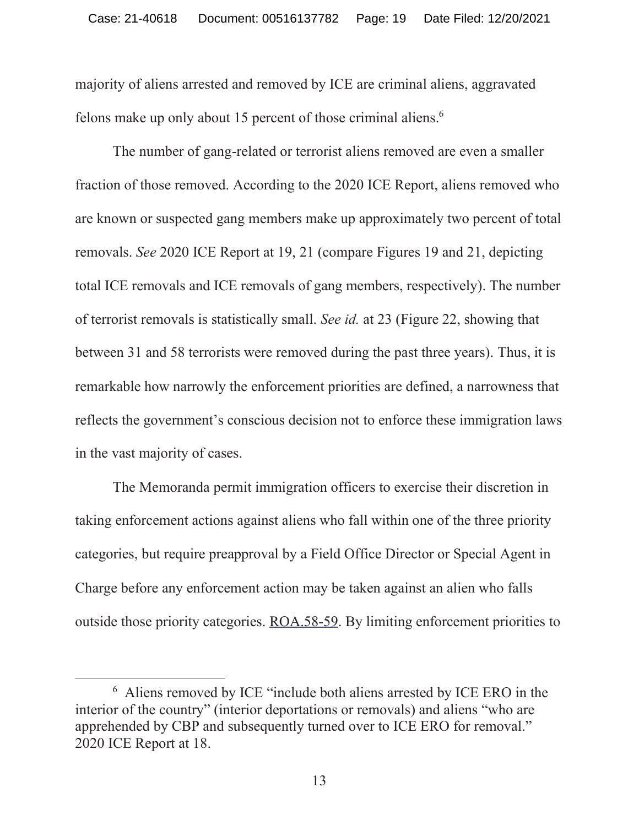majority of aliens arrested and removed by ICE are criminal aliens, aggravated felons make up only about 15 percent of those criminal aliens. $6$ 

The number of gang-related or terrorist aliens removed are even a smaller fraction of those removed. According to the 2020 ICE Report, aliens removed who are known or suspected gang members make up approximately two percent of total removals. *See* 2020 ICE Report at 19, 21 (compare Figures 19 and 21, depicting total ICE removals and ICE removals of gang members, respectively). The number of terrorist removals is statistically small. *See id.* at 23 (Figure 22, showing that between 31 and 58 terrorists were removed during the past three years). Thus, it is remarkable how narrowly the enforcement priorities are defined, a narrowness that reflects the government's conscious decision not to enforce these immigration laws in the vast majority of cases.

The Memoranda permit immigration officers to exercise their discretion in taking enforcement actions against aliens who fall within one of the three priority categories, but require preapproval by a Field Office Director or Special Agent in Charge before any enforcement action may be taken against an alien who falls outside those priority categories. ROA.58-59. By limiting enforcement priorities to

<sup>6</sup> Aliens removed by ICE "include both aliens arrested by ICE ERO in the interior of the country" (interior deportations or removals) and aliens "who are apprehended by CBP and subsequently turned over to ICE ERO for removal." 2020 ICE Report at 18.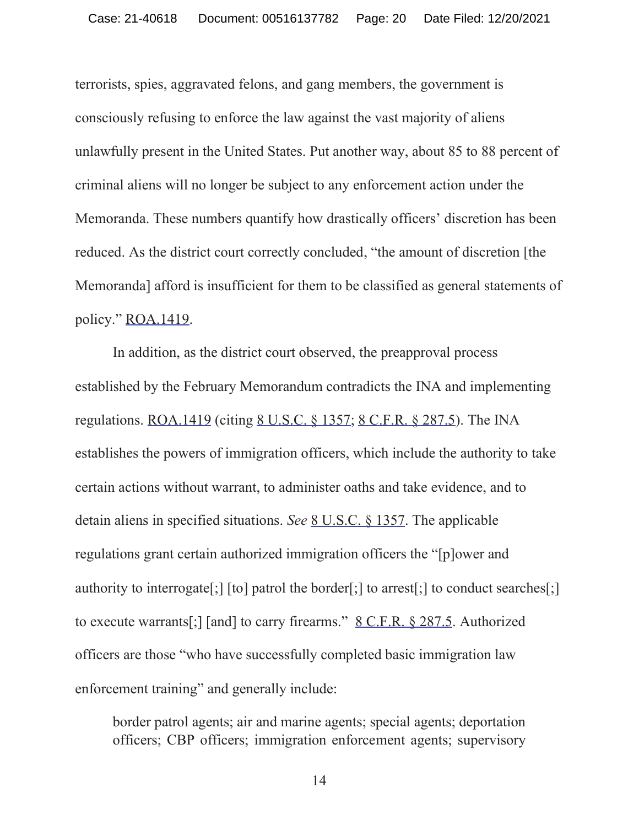terrorists, spies, aggravated felons, and gang members, the government is consciously refusing to enforce the law against the vast majority of aliens unlawfully present in the United States. Put another way, about 85 to 88 percent of criminal aliens will no longer be subject to any enforcement action under the Memoranda. These numbers quantify how drastically officers' discretion has been reduced. As the district court correctly concluded, "the amount of discretion [the Memoranda] afford is insufficient for them to be classified as general statements of policy." ROA.1419.

In addition, as the district court observed, the preapproval process established by the February Memorandum contradicts the INA and implementing regulations. ROA.1419 (citing 8 U.S.C. § 1357; 8 C.F.R. § 287.5). The INA establishes the powers of immigration officers, which include the authority to take certain actions without warrant, to administer oaths and take evidence, and to detain aliens in specified situations. *See* 8 U.S.C. § 1357. The applicable regulations grant certain authorized immigration officers the "[p]ower and authority to interrogate[;] [to] patrol the border[;] to arrest[;] to conduct searches[;] to execute warrants[;] [and] to carry firearms." 8 C.F.R. § 287.5. Authorized officers are those "who have successfully completed basic immigration law enforcement training" and generally include:

border patrol agents; air and marine agents; special agents; deportation officers; CBP officers; immigration enforcement agents; supervisory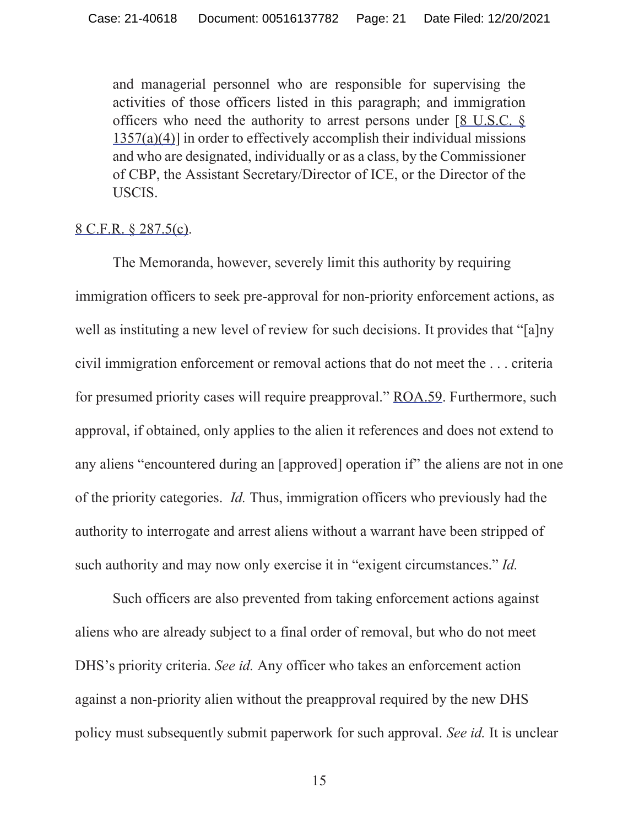and managerial personnel who are responsible for supervising the activities of those officers listed in this paragraph; and immigration officers who need the authority to arrest persons under  $[8 \text{ U.S.C. } 8]$  $1357(a)(4)$ ] in order to effectively accomplish their individual missions and who are designated, individually or as a class, by the Commissioner of CBP, the Assistant Secretary/Director of ICE, or the Director of the USCIS.

#### 8 C.F.R. § 287.5(c).

The Memoranda, however, severely limit this authority by requiring immigration officers to seek pre-approval for non-priority enforcement actions, as well as instituting a new level of review for such decisions. It provides that "[a]ny civil immigration enforcement or removal actions that do not meet the . . . criteria for presumed priority cases will require preapproval." ROA.59. Furthermore, such approval, if obtained, only applies to the alien it references and does not extend to any aliens "encountered during an [approved] operation if" the aliens are not in one of the priority categories. *Id.* Thus, immigration officers who previously had the authority to interrogate and arrest aliens without a warrant have been stripped of such authority and may now only exercise it in "exigent circumstances." *Id.*

Such officers are also prevented from taking enforcement actions against aliens who are already subject to a final order of removal, but who do not meet DHS's priority criteria. *See id.* Any officer who takes an enforcement action against a non-priority alien without the preapproval required by the new DHS policy must subsequently submit paperwork for such approval. *See id.* It is unclear

15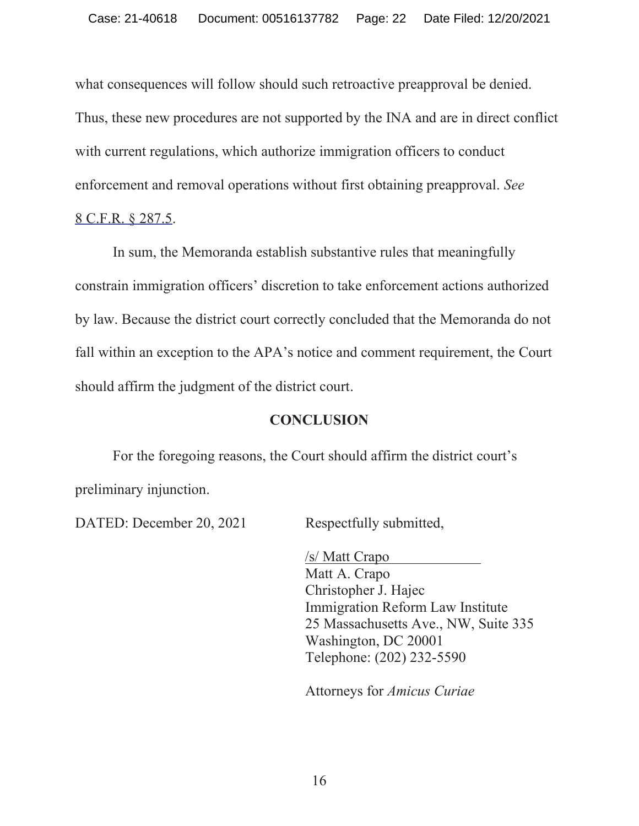what consequences will follow should such retroactive preapproval be denied. Thus, these new procedures are not supported by the INA and are in direct conflict with current regulations, which authorize immigration officers to conduct enforcement and removal operations without first obtaining preapproval. *See* 8 C.F.R. § 287.5.

In sum, the Memoranda establish substantive rules that meaningfully constrain immigration officers' discretion to take enforcement actions authorized by law. Because the district court correctly concluded that the Memoranda do not fall within an exception to the APA's notice and comment requirement, the Court should affirm the judgment of the district court.

### **CONCLUSION**

For the foregoing reasons, the Court should affirm the district court's preliminary injunction.

DATED: December 20, 2021 Respectfully submitted,

/s/ Matt Crapo Matt A. Crapo Christopher J. Hajec Immigration Reform Law Institute 25 Massachusetts Ave., NW, Suite 335 Washington, DC 20001 Telephone: (202) 232-5590

Attorneys for *Amicus Curiae*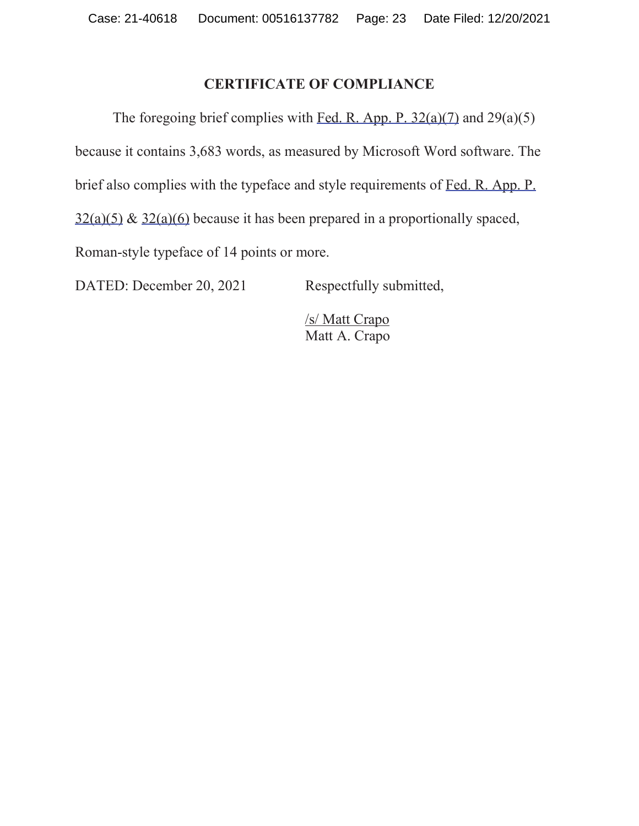### **CERTIFICATE OF COMPLIANCE**

The foregoing brief complies with Fed. R. App. P.  $32(a)(7)$  and  $29(a)(5)$ because it contains 3,683 words, as measured by Microsoft Word software. The brief also complies with the typeface and style requirements of Fed. R. App. P.  $32(a)(5)$  &  $32(a)(6)$  because it has been prepared in a proportionally spaced, Roman-style typeface of 14 points or more.

DATED: December 20, 2021 Respectfully submitted,

/s/ Matt Crapo Matt A. Crapo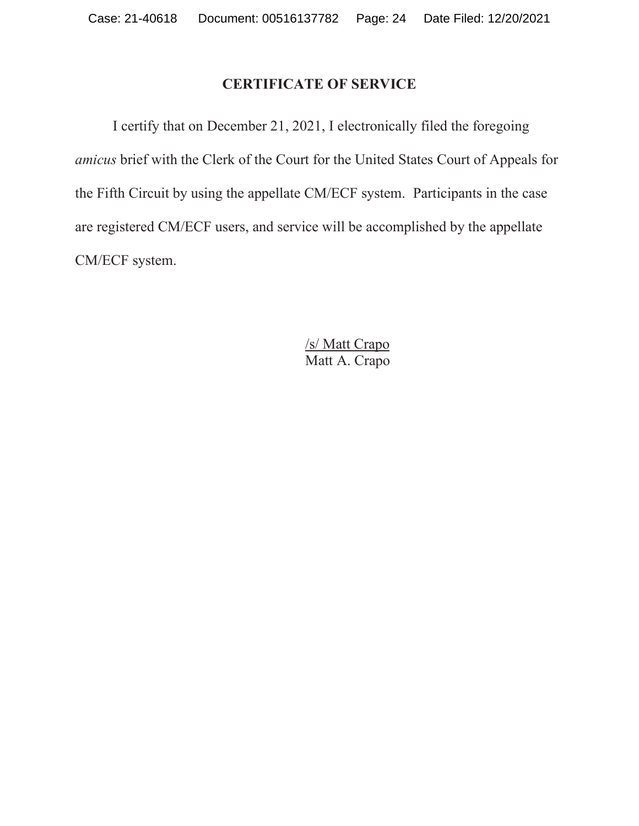## **CERTIFICATE OF SERVICE**

I certify that on December 21, 2021, I electronically filed the foregoing *amicus* brief with the Clerk of the Court for the United States Court of Appeals for the Fifth Circuit by using the appellate CM/ECF system. Participants in the case are registered CM/ECF users, and service will be accomplished by the appellate CM/ECF system.

> /s/ Matt Crapo Matt A. Crapo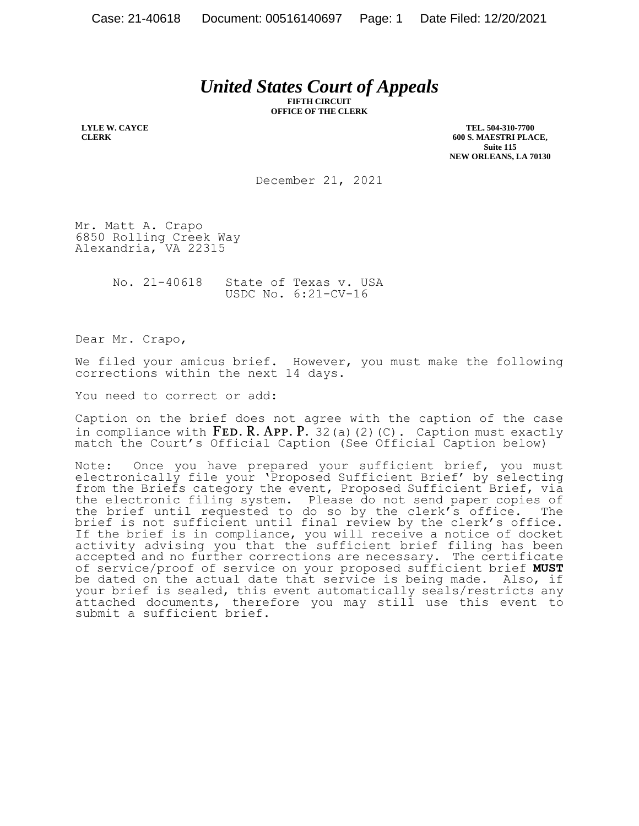# *United States Court of Appeals*

**FIFTH CIRCUIT OFFICE OF THE CLERK**

**LYLE W. CAYCE CLERK**

**TEL. 504-310-7700 600 S. MAESTRI PLACE, Suite 115 NEW ORLEANS, LA 70130**

December 21, 2021

Mr. Matt A. Crapo 6850 Rolling Creek Way Alexandria, VA 22315

> No. 21-40618 State of Texas v. USA USDC No. 6:21-CV-16

Dear Mr. Crapo,

We filed your amicus brief. However, you must make the following corrections within the next 14 days.

You need to correct or add:

Caption on the brief does not agree with the caption of the case in compliance with  $FED. R. APP. P. 32(a)(2)(C).$  Caption must exactly match the Court's Official Caption (See Official Caption below)

Note: Once you have prepared your sufficient brief, you must electronically file your 'Proposed Sufficient Brief' by selecting from the Briefs category the event, Proposed Sufficient Brief, via the electronic filing system. Please do not send paper copies of the brief until requested to do so by the clerk's office. The brief is not sufficient until final review by the clerk's office. If the brief is in compliance, you will receive a notice of docket activity advising you that the sufficient brief filing has been accepted and no further corrections are necessary. The certificate of service/proof of service on your proposed sufficient brief **MUST** be dated on the actual date that service is being made. Also, if your brief is sealed, this event automatically seals/restricts any attached documents, therefore you may still use this event to submit a sufficient brief.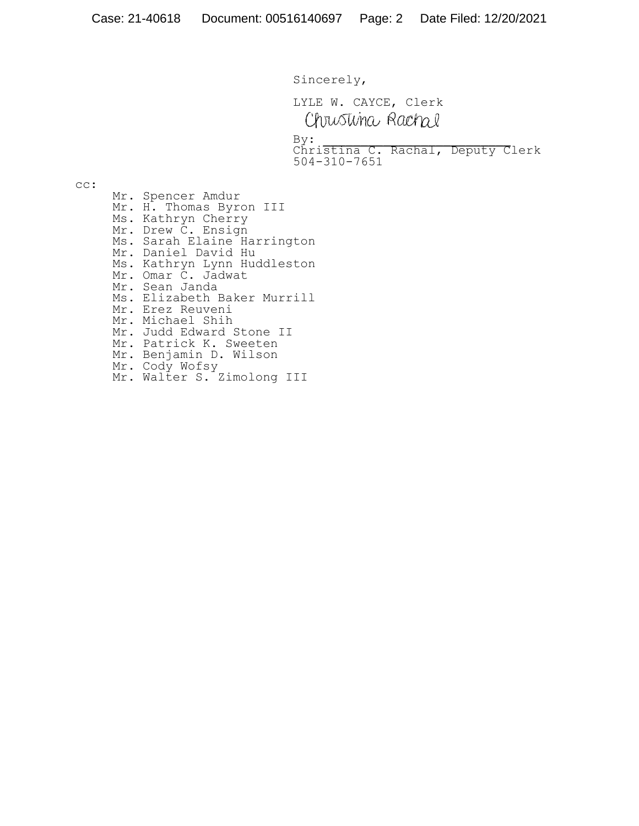Sincerely,

LYLE W. CAYCE, Clerk Chrustina Rachal

 $By:$ 

By:<br>Christina C. Rachal, Deputy Clerk 504-310-7651

cc:

Mr. Spencer Amdur Mr. H. Thomas Byron III Ms. Kathryn Cherry Mr. Drew C. Ensign Ms. Sarah Elaine Harrington Mr. Daniel David Hu Ms. Kathryn Lynn Huddleston Mr. Omar C. Jadwat Mr. Sean Janda Ms. Elizabeth Baker Murrill Mr. Erez Reuveni Mr. Michael Shih Mr. Judd Edward Stone II Mr. Patrick K. Sweeten Mr. Benjamin D. Wilson Mr. Cody Wofsy Mr. Walter S. Zimolong III